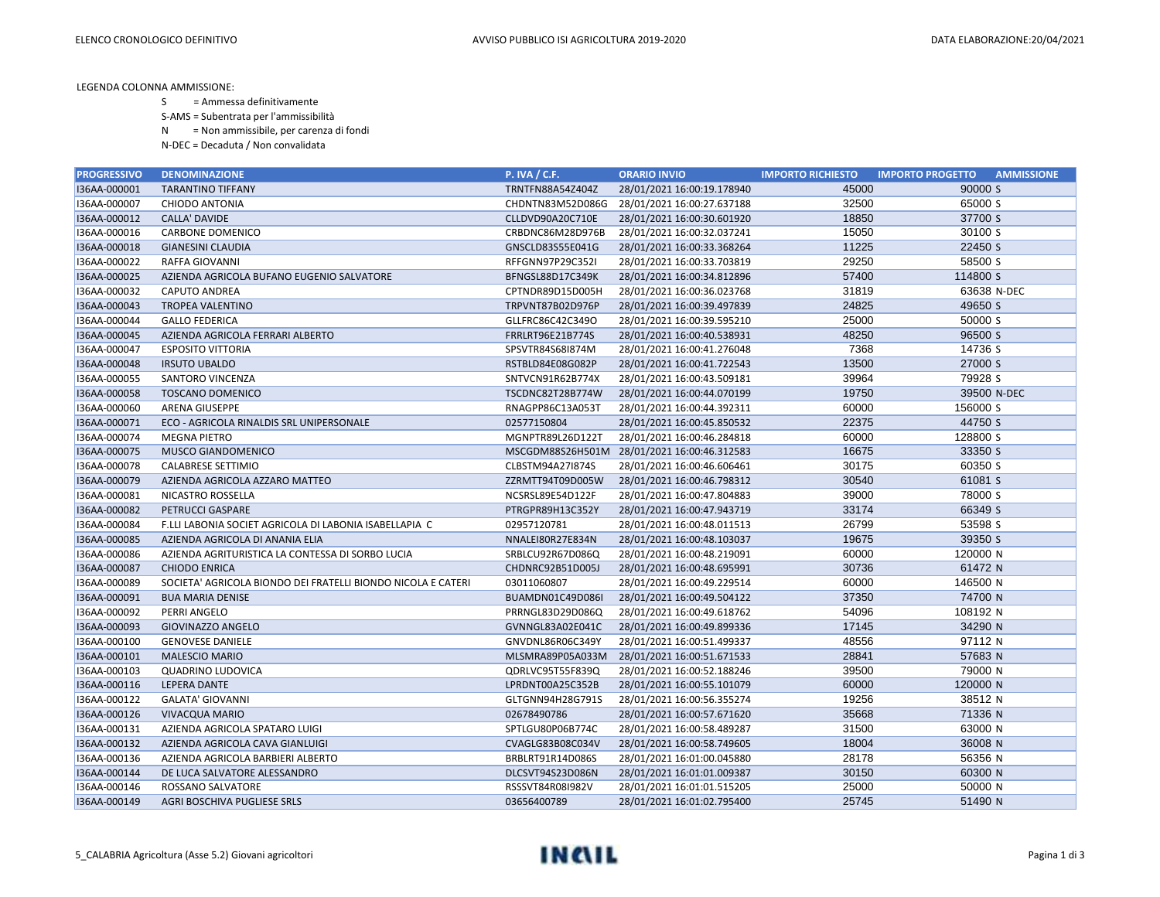LEGENDA COLONNA AMMISSIONE:

S = Ammessa definitivamente

S-AMS = Subentrata per l'ammissibilità

N = Non ammissibile, per carenza di fondi

N-DEC = Decaduta / Non convalidata

| <b>PROGRESSIVO</b> | <b>DENOMINAZIONE</b>                                         | <b>P. IVA / C.F.</b> | <b>ORARIO INVIO</b>                         | <b>IMPORTO RICHIESTO</b> | <b>AMMISSIONE</b><br><b>IMPORTO PROGETTO</b> |
|--------------------|--------------------------------------------------------------|----------------------|---------------------------------------------|--------------------------|----------------------------------------------|
| I36AA-000001       | <b>TARANTINO TIFFANY</b>                                     | TRNTFN88A54Z404Z     | 28/01/2021 16:00:19.178940                  | 45000                    | 90000 S                                      |
| I36AA-000007       | CHIODO ANTONIA                                               | CHDNTN83M52D086G     | 28/01/2021 16:00:27.637188                  | 32500                    | 65000 S                                      |
| I36AA-000012       | <b>CALLA' DAVIDE</b>                                         | CLLDVD90A20C710E     | 28/01/2021 16:00:30.601920                  | 18850                    | 37700 S                                      |
| I36AA-000016       | CARBONE DOMENICO                                             | CRBDNC86M28D976B     | 28/01/2021 16:00:32.037241                  | 15050                    | 30100 S                                      |
| I36AA-000018       | <b>GIANESINI CLAUDIA</b>                                     | GNSCLD83S55E041G     | 28/01/2021 16:00:33.368264                  | 11225                    | 22450 S                                      |
| I36AA-000022       | RAFFA GIOVANNI                                               | RFFGNN97P29C352I     | 28/01/2021 16:00:33.703819                  | 29250                    | 58500 S                                      |
| I36AA-000025       | AZIENDA AGRICOLA BUFANO EUGENIO SALVATORE                    | BFNGSL88D17C349K     | 28/01/2021 16:00:34.812896                  | 57400                    | 114800 S                                     |
| I36AA-000032       | <b>CAPUTO ANDREA</b>                                         | CPTNDR89D15D005H     | 28/01/2021 16:00:36.023768                  | 31819                    | 63638 N-DEC                                  |
| I36AA-000043       | TROPEA VALENTINO                                             | TRPVNT87B02D976P     | 28/01/2021 16:00:39.497839                  | 24825                    | 49650 S                                      |
| I36AA-000044       | <b>GALLO FEDERICA</b>                                        | GLLFRC86C42C349O     | 28/01/2021 16:00:39.595210                  | 25000                    | 50000 S                                      |
| I36AA-000045       | AZIENDA AGRICOLA FERRARI ALBERTO                             | FRRLRT96E21B774S     | 28/01/2021 16:00:40.538931                  | 48250                    | 96500 S                                      |
| I36AA-000047       | <b>ESPOSITO VITTORIA</b>                                     | SPSVTR84S68I874M     | 28/01/2021 16:00:41.276048                  | 7368                     | 14736 S                                      |
| I36AA-000048       | <b>IRSUTO UBALDO</b>                                         | RSTBLD84E08G082P     | 28/01/2021 16:00:41.722543                  | 13500                    | 27000 S                                      |
| I36AA-000055       | SANTORO VINCENZA                                             | SNTVCN91R62B774X     | 28/01/2021 16:00:43.509181                  | 39964                    | 79928 S                                      |
| I36AA-000058       | <b>TOSCANO DOMENICO</b>                                      | TSCDNC82T28B774W     | 28/01/2021 16:00:44.070199                  | 19750                    | 39500 N-DEC                                  |
| I36AA-000060       | ARENA GIUSEPPE                                               | RNAGPP86C13A053T     | 28/01/2021 16:00:44.392311                  | 60000                    | 156000 S                                     |
| I36AA-000071       | ECO - AGRICOLA RINALDIS SRL UNIPERSONALE                     | 02577150804          | 28/01/2021 16:00:45.850532                  | 22375                    | 44750 S                                      |
| I36AA-000074       | <b>MEGNA PIETRO</b>                                          | MGNPTR89L26D122T     | 28/01/2021 16:00:46.284818                  | 60000                    | 128800 S                                     |
| I36AA-000075       | MUSCO GIANDOMENICO                                           |                      | MSCGDM88S26H501M 28/01/2021 16:00:46.312583 | 16675                    | 33350 S                                      |
| I36AA-000078       | CALABRESE SETTIMIO                                           | CLBSTM94A27I874S     | 28/01/2021 16:00:46.606461                  | 30175                    | 60350 S                                      |
| I36AA-000079       | AZIENDA AGRICOLA AZZARO MATTEO                               | ZZRMTT94T09D005W     | 28/01/2021 16:00:46.798312                  | 30540                    | 61081 S                                      |
| I36AA-000081       | NICASTRO ROSSELLA                                            | NCSRSL89E54D122F     | 28/01/2021 16:00:47.804883                  | 39000                    | 78000 S                                      |
| I36AA-000082       | PETRUCCI GASPARE                                             | PTRGPR89H13C352Y     | 28/01/2021 16:00:47.943719                  | 33174                    | 66349 S                                      |
| I36AA-000084       | F.LLI LABONIA SOCIET AGRICOLA DI LABONIA ISABELLAPIA C       | 02957120781          | 28/01/2021 16:00:48.011513                  | 26799                    | 53598 S                                      |
| I36AA-000085       | AZIENDA AGRICOLA DI ANANIA ELIA                              | NNALEI80R27E834N     | 28/01/2021 16:00:48.103037                  | 19675                    | 39350 S                                      |
| I36AA-000086       | AZIENDA AGRITURISTICA LA CONTESSA DI SORBO LUCIA             | SRBLCU92R67D086Q     | 28/01/2021 16:00:48.219091                  | 60000                    | 120000 N                                     |
| I36AA-000087       | <b>CHIODO ENRICA</b>                                         | CHDNRC92B51D005J     | 28/01/2021 16:00:48.695991                  | 30736                    | 61472 N                                      |
| I36AA-000089       | SOCIETA' AGRICOLA BIONDO DEI FRATELLI BIONDO NICOLA E CATERI | 03011060807          | 28/01/2021 16:00:49.229514                  | 60000                    | 146500 N                                     |
| I36AA-000091       | <b>BUA MARIA DENISE</b>                                      | BUAMDN01C49D086I     | 28/01/2021 16:00:49.504122                  | 37350                    | 74700 N                                      |
| I36AA-000092       | PERRI ANGELO                                                 | PRRNGL83D29D086Q     | 28/01/2021 16:00:49.618762                  | 54096                    | 108192 N                                     |
| I36AA-000093       | <b>GIOVINAZZO ANGELO</b>                                     | GVNNGL83A02E041C     | 28/01/2021 16:00:49.899336                  | 17145                    | 34290 N                                      |
| I36AA-000100       | <b>GENOVESE DANIELE</b>                                      | GNVDNL86R06C349Y     | 28/01/2021 16:00:51.499337                  | 48556                    | 97112 N                                      |
| I36AA-000101       | <b>MALESCIO MARIO</b>                                        |                      | MLSMRA89P05A033M 28/01/2021 16:00:51.671533 | 28841                    | 57683 N                                      |
| I36AA-000103       | <b>QUADRINO LUDOVICA</b>                                     | QDRLVC95T55F839Q     | 28/01/2021 16:00:52.188246                  | 39500                    | 79000 N                                      |
| I36AA-000116       | <b>LEPERA DANTE</b>                                          | LPRDNT00A25C352B     | 28/01/2021 16:00:55.101079                  | 60000                    | 120000 N                                     |
| I36AA-000122       | <b>GALATA' GIOVANNI</b>                                      | GLTGNN94H28G791S     | 28/01/2021 16:00:56.355274                  | 19256                    | 38512 N                                      |
| I36AA-000126       | <b>VIVACQUA MARIO</b>                                        | 02678490786          | 28/01/2021 16:00:57.671620                  | 35668                    | 71336 N                                      |
| I36AA-000131       | AZIENDA AGRICOLA SPATARO LUIGI                               | SPTLGU80P06B774C     | 28/01/2021 16:00:58.489287                  | 31500                    | 63000 N                                      |
| I36AA-000132       | AZIENDA AGRICOLA CAVA GIANLUIGI                              | CVAGLG83B08C034V     | 28/01/2021 16:00:58.749605                  | 18004                    | 36008 N                                      |
| I36AA-000136       | AZIENDA AGRICOLA BARBIERI ALBERTO                            | BRBLRT91R14D086S     | 28/01/2021 16:01:00.045880                  | 28178                    | 56356 N                                      |
| I36AA-000144       | DE LUCA SALVATORE ALESSANDRO                                 | DLCSVT94S23D086N     | 28/01/2021 16:01:01.009387                  | 30150                    | 60300 N                                      |
| I36AA-000146       | ROSSANO SALVATORE                                            | RSSSVT84R08I982V     | 28/01/2021 16:01:01.515205                  | 25000                    | 50000 N                                      |
| I36AA-000149       | AGRI BOSCHIVA PUGLIESE SRLS                                  | 03656400789          | 28/01/2021 16:01:02.795400                  | 25745                    | 51490 N                                      |

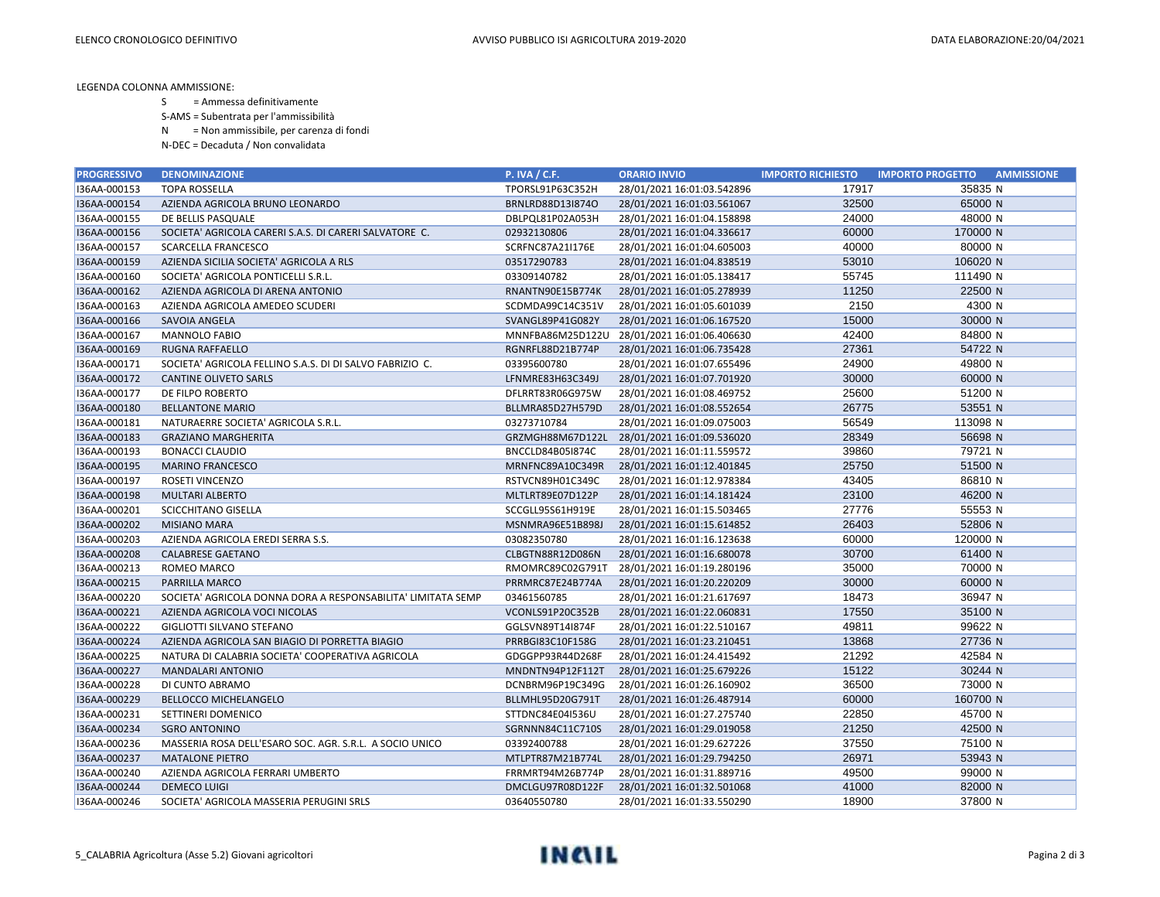LEGENDA COLONNA AMMISSIONE:

- S = Ammessa definitivamente
- S-AMS = Subentrata per l'ammissibilità
- N = Non ammissibile, per carenza di fondi
- N-DEC = Decaduta / Non convalidata

| <b>PROGRESSIVO</b> | <b>DENOMINAZIONE</b>                                         | <b>P. IVA / C.F.</b> | <b>ORARIO INVIO</b>        | <b>IMPORTO RICHIESTO</b> | <b>IMPORTO PROGETTO</b><br><b>AMMISSIONE</b> |
|--------------------|--------------------------------------------------------------|----------------------|----------------------------|--------------------------|----------------------------------------------|
| I36AA-000153       | <b>TOPA ROSSELLA</b>                                         | TPORSL91P63C352H     | 28/01/2021 16:01:03.542896 | 17917                    | 35835 N                                      |
| I36AA-000154       | AZIENDA AGRICOLA BRUNO LEONARDO                              | BRNLRD88D13I874O     | 28/01/2021 16:01:03.561067 | 32500                    | 65000 N                                      |
| I36AA-000155       | DE BELLIS PASQUALE                                           | DBLPQL81P02A053H     | 28/01/2021 16:01:04.158898 | 24000                    | 48000 N                                      |
| I36AA-000156       | SOCIETA' AGRICOLA CARERI S.A.S. DI CARERI SALVATORE C.       | 02932130806          | 28/01/2021 16:01:04.336617 | 60000                    | 170000 N                                     |
| I36AA-000157       | <b>SCARCELLA FRANCESCO</b>                                   | SCRFNC87A21I176E     | 28/01/2021 16:01:04.605003 | 40000                    | 80000 N                                      |
| I36AA-000159       | AZIENDA SICILIA SOCIETA' AGRICOLA A RLS                      | 03517290783          | 28/01/2021 16:01:04.838519 | 53010                    | 106020 N                                     |
| I36AA-000160       | SOCIETA' AGRICOLA PONTICELLI S.R.L.                          | 03309140782          | 28/01/2021 16:01:05.138417 | 55745                    | 111490 N                                     |
| I36AA-000162       | AZIENDA AGRICOLA DI ARENA ANTONIO                            | RNANTN90E15B774K     | 28/01/2021 16:01:05.278939 | 11250                    | 22500 N                                      |
| I36AA-000163       | AZIENDA AGRICOLA AMEDEO SCUDERI                              | SCDMDA99C14C351V     | 28/01/2021 16:01:05.601039 | 2150                     | 4300 N                                       |
| I36AA-000166       | SAVOIA ANGELA                                                | SVANGL89P41G082Y     | 28/01/2021 16:01:06.167520 | 15000                    | 30000 N                                      |
| I36AA-000167       | MANNOLO FABIO                                                | MNNFBA86M25D122U     | 28/01/2021 16:01:06.406630 | 42400                    | 84800 N                                      |
| I36AA-000169       | <b>RUGNA RAFFAELLO</b>                                       | RGNRFL88D21B774P     | 28/01/2021 16:01:06.735428 | 27361                    | 54722 N                                      |
| I36AA-000171       | SOCIETA' AGRICOLA FELLINO S.A.S. DI DI SALVO FABRIZIO C.     | 03395600780          | 28/01/2021 16:01:07.655496 | 24900                    | 49800 N                                      |
| I36AA-000172       | CANTINE OLIVETO SARLS                                        | LFNMRE83H63C349J     | 28/01/2021 16:01:07.701920 | 30000                    | 60000 N                                      |
| I36AA-000177       | DE FILPO ROBERTO                                             | DFLRRT83R06G975W     | 28/01/2021 16:01:08.469752 | 25600                    | 51200 N                                      |
| I36AA-000180       | <b>BELLANTONE MARIO</b>                                      | BLLMRA85D27H579D     | 28/01/2021 16:01:08.552654 | 26775                    | 53551 N                                      |
| I36AA-000181       | NATURAERRE SOCIETA' AGRICOLA S.R.L.                          | 03273710784          | 28/01/2021 16:01:09.075003 | 56549                    | 113098 N                                     |
| I36AA-000183       | <b>GRAZIANO MARGHERITA</b>                                   | GRZMGH88M67D122L     | 28/01/2021 16:01:09.536020 | 28349                    | 56698 N                                      |
| I36AA-000193       | <b>BONACCI CLAUDIO</b>                                       | BNCCLD84B05I874C     | 28/01/2021 16:01:11.559572 | 39860                    | 79721 N                                      |
| I36AA-000195       | <b>MARINO FRANCESCO</b>                                      | MRNFNC89A10C349R     | 28/01/2021 16:01:12.401845 | 25750                    | 51500 N                                      |
| I36AA-000197       | ROSETI VINCENZO                                              | RSTVCN89H01C349C     | 28/01/2021 16:01:12.978384 | 43405                    | 86810 N                                      |
| I36AA-000198       | <b>MULTARI ALBERTO</b>                                       | MLTLRT89E07D122P     | 28/01/2021 16:01:14.181424 | 23100                    | 46200 N                                      |
| I36AA-000201       | SCICCHITANO GISELLA                                          | SCCGLL95S61H919E     | 28/01/2021 16:01:15.503465 | 27776                    | 55553 N                                      |
| I36AA-000202       | <b>MISIANO MARA</b>                                          | MSNMRA96E51B898J     | 28/01/2021 16:01:15.614852 | 26403                    | 52806 N                                      |
| I36AA-000203       | AZIENDA AGRICOLA EREDI SERRA S.S.                            | 03082350780          | 28/01/2021 16:01:16.123638 | 60000                    | 120000 N                                     |
| I36AA-000208       | <b>CALABRESE GAETANO</b>                                     | CLBGTN88R12D086N     | 28/01/2021 16:01:16.680078 | 30700                    | 61400 N                                      |
| I36AA-000213       | ROMEO MARCO                                                  | RMOMRC89C02G791T     | 28/01/2021 16:01:19.280196 | 35000                    | 70000 N                                      |
| I36AA-000215       | PARRILLA MARCO                                               | PRRMRC87E24B774A     | 28/01/2021 16:01:20.220209 | 30000                    | 60000 N                                      |
| I36AA-000220       | SOCIETA' AGRICOLA DONNA DORA A RESPONSABILITA' LIMITATA SEMP | 03461560785          | 28/01/2021 16:01:21.617697 | 18473                    | 36947 N                                      |
| I36AA-000221       | AZIENDA AGRICOLA VOCI NICOLAS                                | VCONLS91P20C352B     | 28/01/2021 16:01:22.060831 | 17550                    | 35100 N                                      |
| I36AA-000222       | GIGLIOTTI SILVANO STEFANO                                    | GGLSVN89T14I874F     | 28/01/2021 16:01:22.510167 | 49811                    | 99622 N                                      |
| I36AA-000224       | AZIENDA AGRICOLA SAN BIAGIO DI PORRETTA BIAGIO               | PRRBGI83C10F158G     | 28/01/2021 16:01:23.210451 | 13868                    | 27736 N                                      |
| I36AA-000225       | NATURA DI CALABRIA SOCIETA' COOPERATIVA AGRICOLA             | GDGGPP93R44D268F     | 28/01/2021 16:01:24.415492 | 21292                    | 42584 N                                      |
| I36AA-000227       | <b>MANDALARI ANTONIO</b>                                     | MNDNTN94P12F112T     | 28/01/2021 16:01:25.679226 | 15122                    | 30244 N                                      |
| I36AA-000228       | DI CUNTO ABRAMO                                              | DCNBRM96P19C349G     | 28/01/2021 16:01:26.160902 | 36500                    | 73000 N                                      |
| I36AA-000229       | <b>BELLOCCO MICHELANGELO</b>                                 | BLLMHL95D20G791T     | 28/01/2021 16:01:26.487914 | 60000                    | 160700 N                                     |
| I36AA-000231       | SETTINERI DOMENICO                                           | STTDNC84E04I536U     | 28/01/2021 16:01:27.275740 | 22850                    | 45700 N                                      |
| I36AA-000234       | <b>SGRO ANTONINO</b>                                         | SGRNNN84C11C710S     | 28/01/2021 16:01:29.019058 | 21250                    | 42500 N                                      |
| I36AA-000236       | MASSERIA ROSA DELL'ESARO SOC. AGR. S.R.L. A SOCIO UNICO      | 03392400788          | 28/01/2021 16:01:29.627226 | 37550                    | 75100 N                                      |
| I36AA-000237       | <b>MATALONE PIETRO</b>                                       | MTLPTR87M21B774L     | 28/01/2021 16:01:29.794250 | 26971                    | 53943 N                                      |
| I36AA-000240       | AZIENDA AGRICOLA FERRARI UMBERTO                             | FRRMRT94M26B774P     | 28/01/2021 16:01:31.889716 | 49500                    | 99000 N                                      |
| I36AA-000244       | <b>DEMECO LUIGI</b>                                          | DMCLGU97R08D122F     | 28/01/2021 16:01:32.501068 | 41000                    | 82000 N                                      |
| I36AA-000246       | SOCIETA' AGRICOLA MASSERIA PERUGINI SRLS                     | 03640550780          | 28/01/2021 16:01:33.550290 | 18900                    | 37800 N                                      |